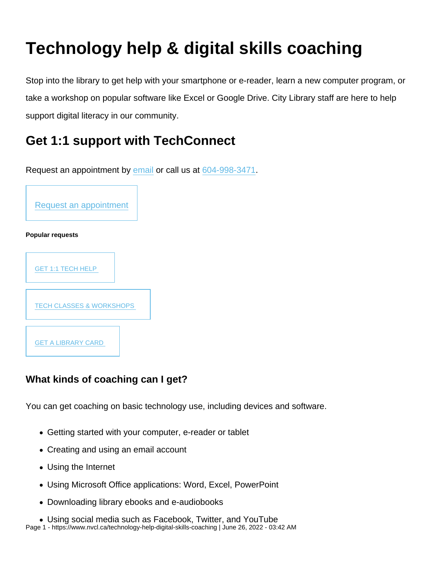# Technology help & digital skills coaching

Stop into the library to get help with your smartphone or e-reader, learn a new computer program, or take a workshop on popular software like Excel or Google Drive. City Library staff are here to help support digital literacy in our community.

# Get 1:1 support with TechConnect

Request an appointment by [email](mailto:techconnect@cnv.org?Subject=Tech Connect appointment requeset) or call us at [604-998-3471](tel:+16049983471).



What kinds of coaching can I get?

You can get coaching on basic technology use, including devices and software.

- Getting started with your computer, e-reader or tablet
- Creating and using an email account
- Using the Internet
- Using Microsoft Office applications: Word, Excel, PowerPoint
- Downloading library ebooks and e-audiobooks

Using social media such as Facebook, Twitter, and YouTube Page 1 - https://www.nvcl.ca/technology-help-digital-skills-coaching | June 26, 2022 - 03:42 AM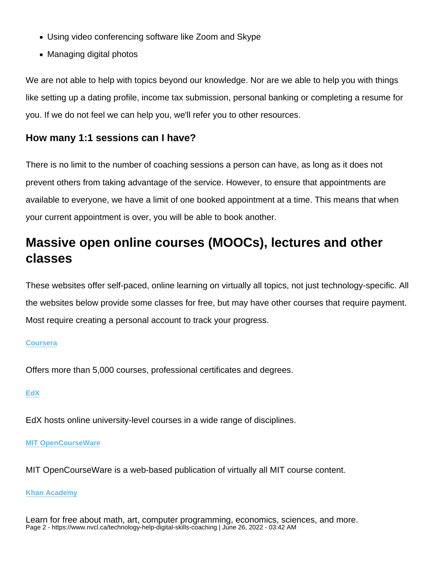- Using video conferencing software like Zoom and Skype
- Managing digital photos

We are not able to help with topics beyond our knowledge. Nor are we able to help you with things like setting up a dating profile, income tax submission, personal banking or completing a resume for you. If we do not feel we can help you, we'll refer you to other resources.

How many 1:1 sessions can I have?

There is no limit to the number of coaching sessions a person can have, as long as it does not prevent others from taking advantage of the service. However, to ensure that appointments are available to everyone, we have a limit of one booked appointment at a time. This means that when your current appointment is over, you will be able to book another.

# Massive open online courses (MOOCs), lectures and other classes

These websites offer self-paced, online learning on virtually all topics, not just technology-specific. All the websites below provide some classes for free, but may have other courses that require payment. Most require creating a personal account to track your progress.

# **[Coursera](https://www.coursera.org/)**

Offers more than 5,000 courses, professional certificates and degrees.

# [EdX](https://www.edx.org/)

EdX hosts online university-level courses in a wide range of disciplines.

# [MIT OpenCourseWare](https://ocw.mit.edu/index.htm)

MIT OpenCourseWare is a web-based publication of virtually all MIT course content.

# [Khan Academy](https://www.khanacademy.org/)

Learn for free about math, art, computer programming, economics, sciences, and more. Page 2 - https://www.nvcl.ca/technology-help-digital-skills-coaching | June 26, 2022 - 03:42 AM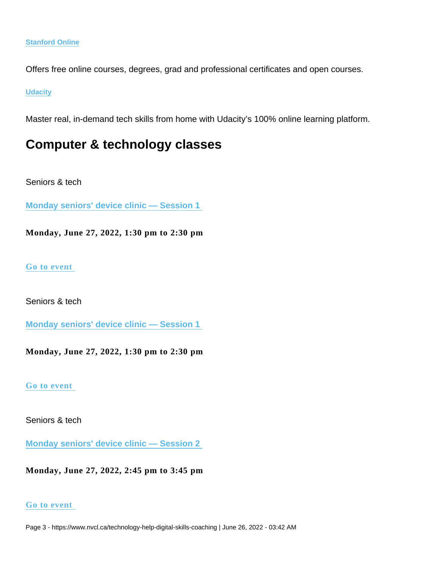#### [Stanford Online](https://online.stanford.edu/lagunita-learning-platform)

Offers free online courses, degrees, grad and professional certificates and open courses.

#### **[Udacity](https://www.udacity.com/)**

Master real, in-demand tech skills from home with Udacity's 100% online learning platform.

# Computer & technology classes

Seniors & tech

[Monday seniors' device clinic — Session 1](https://www.nvcl.ca/events/monday-seniors-device-clinic-session-1-1) 

Monday, June 27, 2022, 1:30 pm to 2:30 pm

# [Go to event](https://www.nvcl.ca/events/monday-seniors-device-clinic-session-1-1)

Seniors & tech

[Monday seniors' device clinic — Session 1](https://www.nvcl.ca/events/monday-seniors-device-clinic-session-1-1) 

Monday, June 27, 2022, 1:30 pm to 2:30 pm

[Go to event](https://www.nvcl.ca/events/monday-seniors-device-clinic-session-1-1) 

Seniors & tech

[Monday seniors' device clinic — Session 2](https://www.nvcl.ca/events/monday-seniors-device-clinic-session-2-10) 

Monday, June 27, 2022, 2:45 pm to 3:45 pm

# [Go to event](https://www.nvcl.ca/events/monday-seniors-device-clinic-session-2-10)

Page 3 - https://www.nvcl.ca/technology-help-digital-skills-coaching | June 26, 2022 - 03:42 AM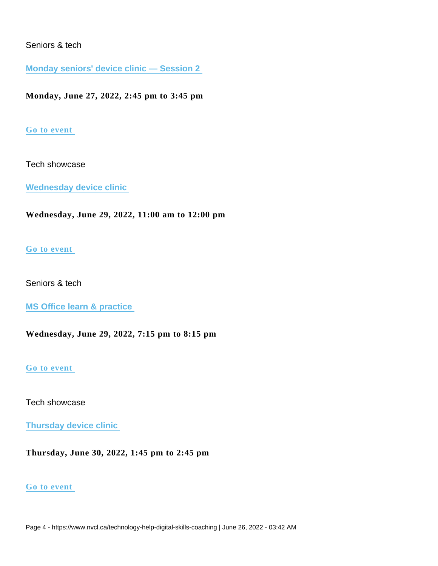# Seniors & tech

[Monday seniors' device clinic — Session 2](https://www.nvcl.ca/events/monday-seniors-device-clinic-session-2-10) 

Monday, June 27, 2022, 2:45 pm to 3:45 pm

# [Go to event](https://www.nvcl.ca/events/monday-seniors-device-clinic-session-2-10)

# Tech showcase

[Wednesday device clinic](https://www.nvcl.ca/events/wednesday-device-clinic-8) 

Wednesday, June 29, 2022, 11:00 am to 12:00 pm

# [Go to event](https://www.nvcl.ca/events/wednesday-device-clinic-8)

# Seniors & tech

[MS Office learn & practice](https://www.nvcl.ca/events/ms-office-learn-practice-18) 

Wednesday, June 29, 2022, 7:15 pm to 8:15 pm

# [Go to event](https://www.nvcl.ca/events/ms-office-learn-practice-18)

# Tech showcase

[Thursday device clinic](https://www.nvcl.ca/events/thursday-device-clinic-7) 

Thursday, June 30, 2022, 1:45 pm to 2:45 pm

# [Go to event](https://www.nvcl.ca/events/thursday-device-clinic-7)